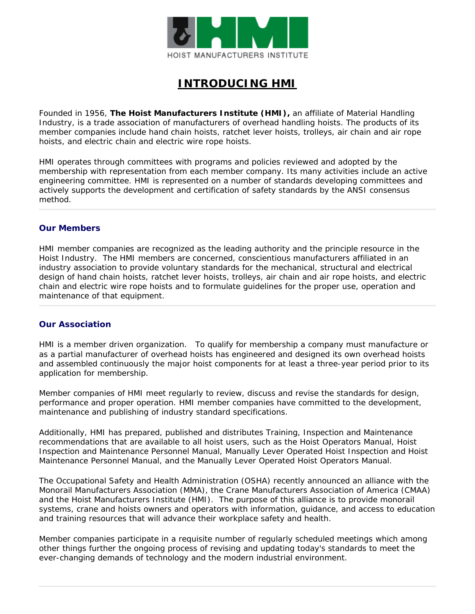

# **INTRODUCING HMI**

Founded in 1956, **The Hoist Manufacturers Institute (HMI),** an affiliate of Material Handling Industry, is a trade association of manufacturers of overhead handling hoists. The products of its member companies include hand chain hoists, ratchet lever hoists, trolleys, air chain and air rope hoists, and electric chain and electric wire rope hoists.

HMI operates through committees with programs and policies reviewed and adopted by the membership with representation from each member company. Its many activities include an active engineering committee. HMI is represented on a number of standards developing committees and actively supports the development and certification of safety standards by the ANSI consensus method.

#### **Our Members**

HMI member companies are recognized as the leading authority and the principle resource in the Hoist Industry. The HMI members are concerned, conscientious manufacturers affiliated in an industry association to provide voluntary standards for the mechanical, structural and electrical design of hand chain hoists, ratchet lever hoists, trolleys, air chain and air rope hoists, and electric chain and electric wire rope hoists and to formulate guidelines for the proper use, operation and maintenance of that equipment.

#### **Our Association**

HMI is a member driven organization. To qualify for membership a company must manufacture or as a partial manufacturer of overhead hoists has engineered and designed its own overhead hoists and assembled continuously the major hoist components for at least a three-year period prior to its application for membership.

Member companies of HMI meet regularly to review, discuss and revise the standards for design, performance and proper operation. HMI member companies have committed to the development, maintenance and publishing of industry standard specifications.

Additionally, HMI has prepared, published and distributes Training, Inspection and Maintenance recommendations that are available to all hoist users, such as the Hoist Operators Manual, Hoist Inspection and Maintenance Personnel Manual, Manually Lever Operated Hoist Inspection and Hoist Maintenance Personnel Manual, and the Manually Lever Operated Hoist Operators Manual.

The Occupational Safety and Health Administration (OSHA) recently announced an alliance with the Monorail Manufacturers Association (MMA), the Crane Manufacturers Association of America (CMAA) and the Hoist Manufacturers Institute (HMI). The purpose of this alliance is to provide monorail systems, crane and hoists owners and operators with information, guidance, and access to education and training resources that will advance their workplace safety and health.

Member companies participate in a requisite number of regularly scheduled meetings which among other things further the ongoing process of revising and updating today's standards to meet the ever-changing demands of technology and the modern industrial environment.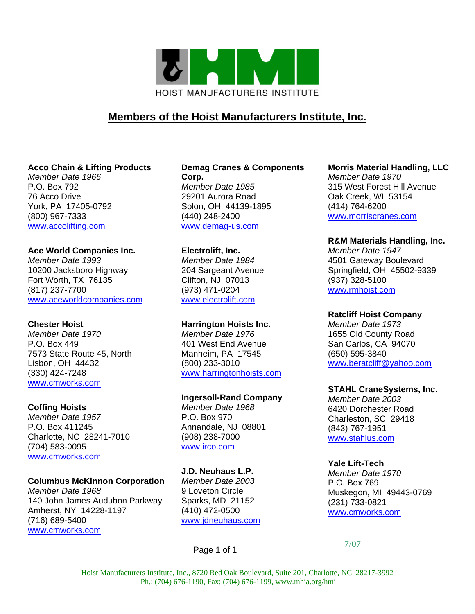

# **Members of the Hoist Manufacturers Institute, Inc.**

### **Acco Chain & Lifting Products**

*Member Date 1966*  P.O. Box 792 76 Acco Drive York, PA 17405-0792 (800) 967-7333 www.accolifting.com

### **Ace World Companies Inc.**

*Member Date 1993*  10200 Jacksboro Highway Fort Worth, TX 76135 (817) 237-7700 www.aceworldcompanies.com

### **Chester Hoist**

*Member Date 1970*  P.O. Box 449 7573 State Route 45, North Lisbon, OH 44432 (330) 424-7248 www.cmworks.com

### **Coffing Hoists**

*Member Date 1957*  P.O. Box 411245 Charlotte, NC 28241-7010 (704) 583-0095 www.cmworks.com

### **Columbus McKinnon Corporation**

*Member Date 1968*  140 John James Audubon Parkway Amherst, NY 14228-1197 (716) 689-5400 www.cmworks.com

#### **Demag Cranes & Components Corp.**  *Member Date 1985*  29201 Aurora Road Solon, OH 44139-1895 (440) 248-2400

www.demag-us.com

#### **Electrolift, Inc.**

*Member Date 1984*  204 Sargeant Avenue Clifton, NJ 07013 (973) 471-0204 www.electrolift.com

### **Harrington Hoists Inc.**

*Member Date 1976*  401 West End Avenue Manheim, PA 17545 (800) 233-3010 www.harringtonhoists.com

### **Ingersoll-Rand Company**

*Member Date 1968*  P.O. Box 970 Annandale, NJ 08801 (908) 238-7000 www.irco.com

## **J.D. Neuhaus L.P.**

*Member Date 2003*  9 Loveton Circle Sparks, MD 21152 (410) 472-0500 www.jdneuhaus.com

### Page 1 of 1

#### **Morris Material Handling, LLC**

*Member Date 1970*  315 West Forest Hill Avenue Oak Creek, WI 53154 (414) 764-6200 www.morriscranes.com

### **R&M Materials Handling, Inc.**

*Member Date 1947*  4501 Gateway Boulevard Springfield, OH 45502-9339 (937) 328-5100 www.rmhoist.com

#### **Ratcliff Hoist Company**

*Member Date 1973*  1655 Old County Road San Carlos, CA 94070 (650) 595-3840 www.beratcliff@yahoo.com

#### **STAHL CraneSystems, Inc.**

*Member Date 2003*  6420 Dorchester Road Charleston, SC 29418 (843) 767-1951 www.stahlus.com

#### **Yale Lift-Tech**

*Member Date 1970*  P.O. Box 769 Muskegon, MI 49443-0769 (231) 733-0821 www.cmworks.com

7/07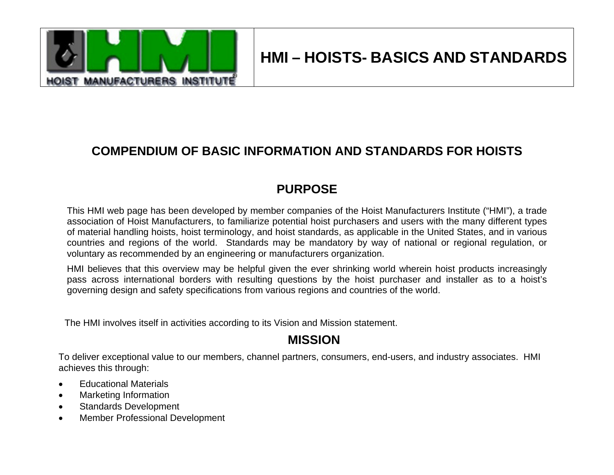

# **HMI – HOISTS- BASICS AND STANDARDS**

# **COMPENDIUM OF BASIC INFORMATION AND STANDARDS FOR HOISTS**

# **PURPOSE**

This HMI web page has been developed by member companies of the Hoist Manufacturers Institute ("HMI"), a trade association of Hoist Manufacturers, to familiarize potential hoist purchasers and users with the many different types of material handling hoists, hoist terminology, and hoist standards, as applicable in the United States, and in various countries and regions of the world. Standards may be mandatory by way of national or regional regulation, or voluntary as recommended by an engineering or manufacturers organization.

HMI believes that this overview may be helpful given the ever shrinking world wherein hoist products increasingly pass across international borders with resulting questions by the hoist purchaser and installer as to a hoist's governing design and safety specifications from various regions and countries of the world.

The HMI involves itself in activities according to its Vision and Mission statement.

# **MISSION**

To deliver exceptional value to our members, channel partners, consumers, end-users, and industry associates. HMI achieves this through:

- Educational Materials
- Marketing Information
- Standards Development
- Member Professional Development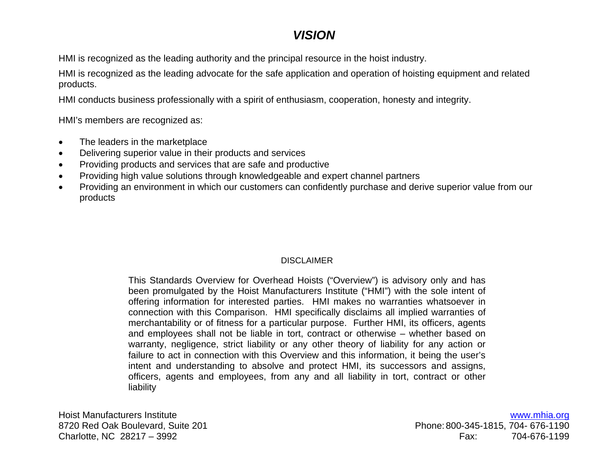# *VISION*

HMI is recognized as the leading authority and the principal resource in the hoist industry.

HMI is recognized as the leading advocate for the safe application and operation of hoisting equipment and related products.

HMI conducts business professionally with a spirit of enthusiasm, cooperation, honesty and integrity.

HMI's members are recognized as:

- The leaders in the marketplace
- Delivering superior value in their products and services
- Providing products and services that are safe and productive
- Providing high value solutions through knowledgeable and expert channel partners
- Providing an environment in which our customers can confidently purchase and derive superior value from our products

## DISCLAIMER

This Standards Overview for Overhead Hoists ("Overview") is advisory only and has been promulgated by the Hoist Manufacturers Institute ("HMI") with the sole intent of offering information for interested parties. HMI makes no warranties whatsoever in connection with this Comparison. HMI specifically disclaims all implied warranties of merchantability or of fitness for a particular purpose. Further HMI, its officers, agents and employees shall not be liable in tort, contract or otherwise – whether based on warranty, negligence, strict liability or any other theory of liability for any action or failure to act in connection with this Overview and this information, it being the user's intent and understanding to absolve and protect HMI, its successors and assigns, officers, agents and employees, from any and all liability in tort, contract or other liability

Hoist Manufacturers Institute 8720 Red Oak Boulevard, Suite 201 Charlotte, NC 28217 – 3992

www.mhia.org Phone: 800-345-1815, 704- 676-1190 Fax: 704-676-1199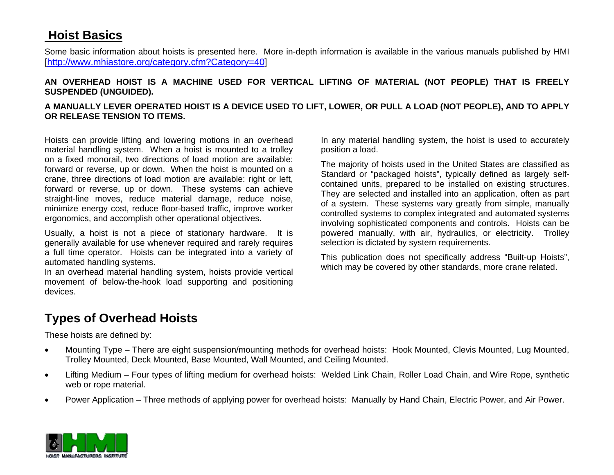# **Hoist Basics**

Some basic information about hoists is presented here. More in-depth information is available in the various manuals published by HMI [http://www.mhiastore.org/category.cfm?Category=40]

### **AN OVERHEAD HOIST IS A MACHINE USED FOR VERTICAL LIFTING OF MATERIAL (NOT PEOPLE) THAT IS FREELY SUSPENDED (UNGUIDED).**

### **A MANUALLY LEVER OPERATED HOIST IS A DEVICE USED TO LIFT, LOWER, OR PULL A LOAD (NOT PEOPLE), AND TO APPLY OR RELEASE TENSION TO ITEMS.**

Hoists can provide lifting and lowering motions in an overhead material handling system. When a hoist is mounted to a trolley on a fixed monorail, two directions of load motion are available: forward or reverse, up or down. When the hoist is mounted on a crane, three directions of load motion are available: right or left, forward or reverse, up or down. These systems can achieve straight-line moves, reduce material damage, reduce noise, minimize energy cost, reduce floor-based traffic, improve worker ergonomics, and accomplish other operational objectives.

Usually, a hoist is not a piece of stationary hardware. It is generally available for use whenever required and rarely requires a full time operator. Hoists can be integrated into a variety of automated handling systems.

In an overhead material handling system, hoists provide vertical movement of below-the-hook load supporting and positioning devices.

In any material handling system, the hoist is used to accurately position a load.

The majority of hoists used in the United States are classified as Standard or "packaged hoists", typically defined as largely selfcontained units, prepared to be installed on existing structures. They are selected and installed into an application, often as part of a system. These systems vary greatly from simple, manually controlled systems to complex integrated and automated systems involving sophisticated components and controls. Hoists can be powered manually, with air, hydraulics, or electricity. Trolley selection is dictated by system requirements.

This publication does not specifically address "Built-up Hoists", which may be covered by other standards, more crane related.

# **Types of Overhead Hoists**

These hoists are defined by:

- Mounting Type There are eight suspension/mounting methods for overhead hoists: Hook Mounted, Clevis Mounted, Lug Mounted, Trolley Mounted, Deck Mounted, Base Mounted, Wall Mounted, and Ceiling Mounted.
- Lifting Medium Four types of lifting medium for overhead hoists: Welded Link Chain, Roller Load Chain, and Wire Rope, synthetic web or rope material.
- Power Application Three methods of applying power for overhead hoists: Manually by Hand Chain, Electric Power, and Air Power.

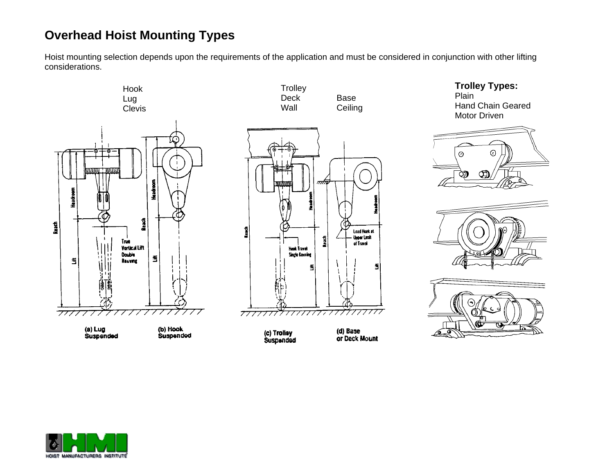# **Overhead Hoist Mounting Types**

Hoist mounting selection depends upon the requirements of the application and must be considered in conjunction with other lifting considerations.

**Trolley** 



(a) Lug<br>Suspended





(c) Trolley<br>Suspanded

(d) Base or Deck Mount









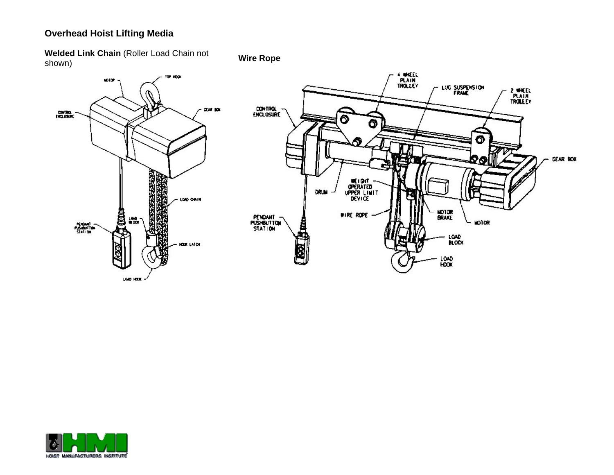## **Overhead Hoist Lifting Media**

**Welded Link Chain** (Roller Load Chain not shown) **Wire Rope** 



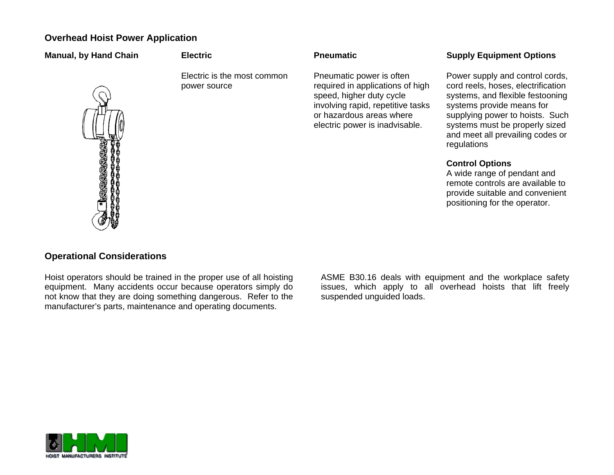## **Overhead Hoist Power Application**

| <b>Manual, by Hand Chain</b> | <b>Electric</b>                             | <b>Pneumatic</b>                                                                                                                                                                            | <b>Supply Equipment Options</b>                                                                                                                                                                                                                                |
|------------------------------|---------------------------------------------|---------------------------------------------------------------------------------------------------------------------------------------------------------------------------------------------|----------------------------------------------------------------------------------------------------------------------------------------------------------------------------------------------------------------------------------------------------------------|
| E                            | Electric is the most common<br>power source | Pneumatic power is often<br>required in applications of high<br>speed, higher duty cycle<br>involving rapid, repetitive tasks<br>or hazardous areas where<br>electric power is inadvisable. | Power supply and control cords,<br>cord reels, hoses, electrification<br>systems, and flexible festooning<br>systems provide means for<br>supplying power to hoists. Such<br>systems must be properly sized<br>and meet all prevailing codes or<br>regulations |
|                              |                                             |                                                                                                                                                                                             | <b>Control Options</b>                                                                                                                                                                                                                                         |

A wide range of pendant and remote controls are available to provide suitable and convenient positioning for the operator.



## **Operational Considerations**

Hoist operators should be trained in the proper use of all hoisting equipment. Many accidents occur because operators simply do not know that they are doing something dangerous. Refer to the manufacturer's parts, maintenance and operating documents.

ASME B30.16 deals with equipment and the workplace safety issues, which apply to all overhead hoists that lift freely suspended unguided loads.

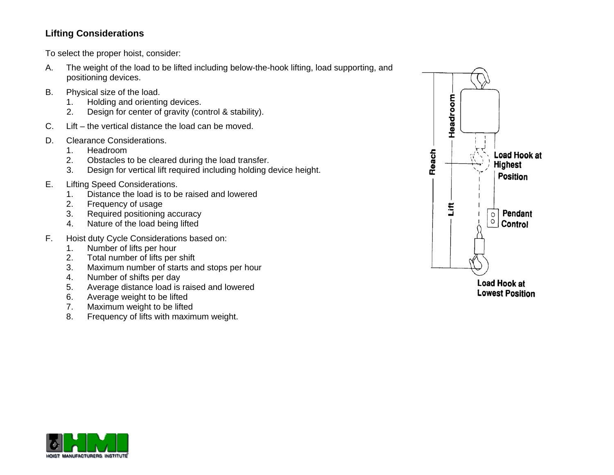## **Lifting Considerations**

To select the proper hoist, consider:

- A. The weight of the load to be lifted including below-the-hook lifting, load supporting, and positioning devices.
- B. Physical size of the load.
	- 1. Holding and orienting devices.
	- 2. Design for center of gravity (control & stability).
- C. Lift the vertical distance the load can be moved.
- D. Clearance Considerations.
	- 1. Headroom
	- 2. Obstacles to be cleared during the load transfer.
	- 3. Design for vertical lift required including holding device height.
- E. Lifting Speed Considerations.
	- 1. Distance the load is to be raised and lowered
	- 2. Frequency of usage
	- 3. Required positioning accuracy
	- 4. Nature of the load being lifted
- F. Hoist duty Cycle Considerations based on:
	- 1. Number of lifts per hour
	- 2. Total number of lifts per shift
	- 3. Maximum number of starts and stops per hour
	- 4. Number of shifts per day
	- 5. Average distance load is raised and lowered
	- 6. Average weight to be lifted
	- 7. Maximum weight to be lifted
	- 8. Frequency of lifts with maximum weight.



**Lowest Position** 

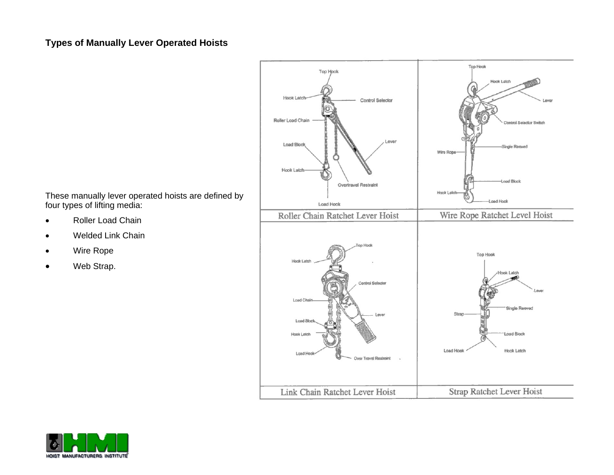## **Types of Manually Lever Operated Hoists**



- Roller Load Chain
- Welded Link Chain
- Wire Rope
- •Web Strap.



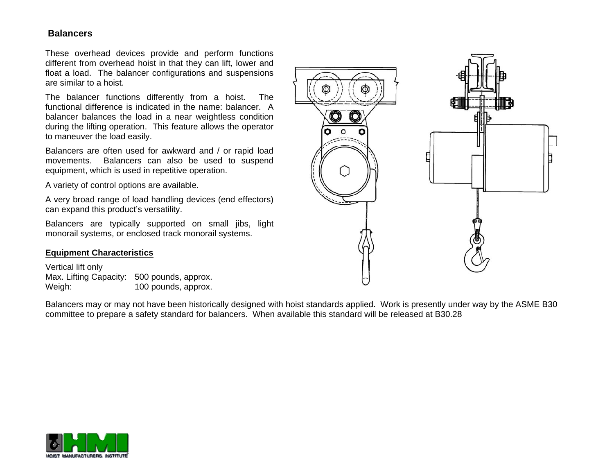### **Balancers**

These overhead devices provide and perform functions different from overhead hoist in that they can lift, lower and float a load. The balancer configurations and suspensions are similar to a hoist.

The balancer functions differently from a hoist. The functional difference is indicated in the name: balancer. A balancer balances the load in a near weightless condition during the lifting operation. This feature allows the operator to maneuver the load easily.

Balancers are often used for awkward and / or rapid load movements. Balancers can also be used to suspend equipment, which is used in repetitive operation.

A variety of control options are available.

A very broad range of load handling devices (end effectors) can expand this product's versatility.

Balancers are typically supported on small jibs, light monorail systems, or enclosed track monorail systems.

#### **Equipment Characteristics**

Vertical lift only Max. Lifting Capacity: 500 pounds, approx. Weigh: 100 pounds, approx.

Balancers may or may not have been historically designed with hoist standards applied. Work is presently under way by the ASME B30 committee to prepare a safety standard for balancers. When available this standard will be released at B30.28



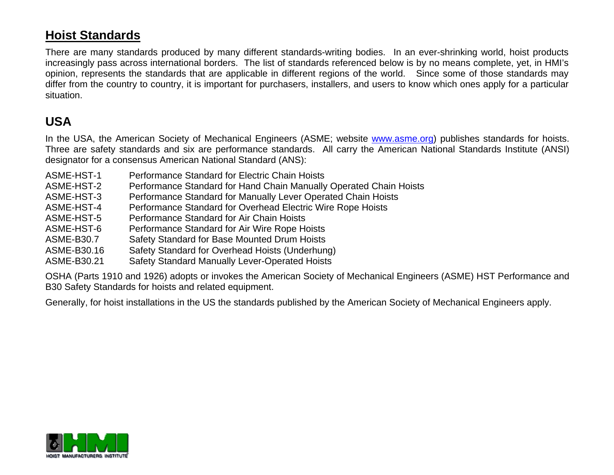# **Hoist Standards**

There are many standards produced by many different standards-writing bodies. In an ever-shrinking world, hoist products increasingly pass across international borders. The list of standards referenced below is by no means complete, yet, in HMI's opinion, represents the standards that are applicable in different regions of the world. Since some of those standards may differ from the country to country, it is important for purchasers, installers, and users to know which ones apply for a particular situation.

# **USA**

In the USA, the American Society of Mechanical Engineers (ASME; website www.asme.org) publishes standards for hoists. Three are safety standards and six are performance standards. All carry the American National Standards Institute (ANSI) designator for a consensus American National Standard (ANS):

- ASME-HST-1 Performance Standard for Electric Chain Hoists
- ASME-HST-2 Performance Standard for Hand Chain Manually Operated Chain Hoists
- ASME-HST-3 Performance Standard for Manually Lever Operated Chain Hoists
- ASME-HST-4 Performance Standard for Overhead Electric Wire Rope Hoists
- ASME-HST-5 Performance Standard for Air Chain Hoists
- ASME-HST-6 Performance Standard for Air Wire Rope Hoists
- ASME-B30.7 Safety Standard for Base Mounted Drum Hoists
- ASME-B30.16 Safety Standard for Overhead Hoists (Underhung)
- ASME-B30.21 Safety Standard Manually Lever-Operated Hoists

OSHA (Parts 1910 and 1926) adopts or invokes the American Society of Mechanical Engineers (ASME) HST Performance and B30 Safety Standards for hoists and related equipment.

Generally, for hoist installations in the US the standards published by the American Society of Mechanical Engineers apply.

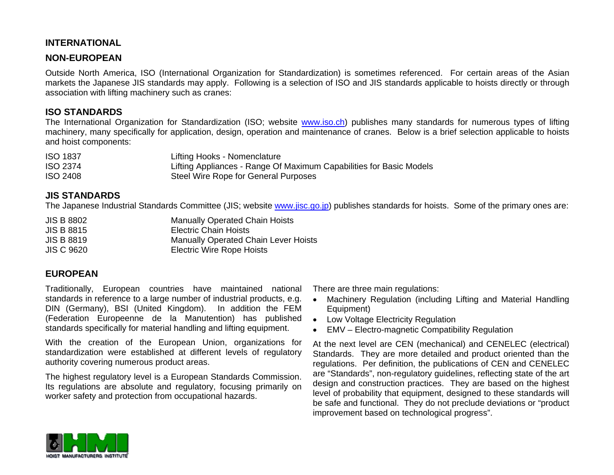## **INTERNATIONAL**

## **NON-EUROPEAN**

Outside North America, ISO (International Organization for Standardization) is sometimes referenced. For certain areas of the Asian markets the Japanese JIS standards may apply. Following is a selection of ISO and JIS standards applicable to hoists directly or through association with lifting machinery such as cranes:

### **ISO STANDARDS**

The International Organization for Standardization (ISO; website www.iso.ch) publishes many standards for numerous types of lifting machinery, many specifically for application, design, operation and maintenance of cranes. Below is a brief selection applicable to hoists and hoist components:

| <b>ISO 1837</b> | Lifting Hooks - Nomenclature                                        |
|-----------------|---------------------------------------------------------------------|
| <b>ISO 2374</b> | Lifting Appliances - Range Of Maximum Capabilities for Basic Models |
| <b>ISO 2408</b> | Steel Wire Rope for General Purposes                                |

### **JIS STANDARDS**

The Japanese Industrial Standards Committee (JIS; website www.jisc.go.jp) publishes standards for hoists. Some of the primary ones are:

JIS B 8802 Manually Operated Chain Hoists JIS B 8815 Electric Chain Hoists JIS B 8819 Manually Operated Chain Lever Hoists JIS C 9620 Electric Wire Rope Hoists

## **EUROPEAN**

Traditionally, European countries have maintained national standards in reference to a large number of industrial products, e.g. DIN (Germany), BSI (United Kingdom). In addition the FEM (Federation Europeenne de la Manutention) has published standards specifically for material handling and lifting equipment.

With the creation of the European Union, organizations for standardization were established at different levels of regulatory authority covering numerous product areas.

The highest regulatory level is a European Standards Commission. Its regulations are absolute and regulatory, focusing primarily on worker safety and protection from occupational hazards.

There are three main regulations:

- Machinery Regulation (including Lifting and Material Handling Equipment)
- Low Voltage Electricity Regulation
- EMV Electro-magnetic Compatibility Regulation

At the next level are CEN (mechanical) and CENELEC (electrical) Standards. They are more detailed and product oriented than the regulations. Per definition, the publications of CEN and CENELEC are "Standards", non-regulatory guidelines, reflecting state of the art design and construction practices. They are based on the highest level of probability that equipment, designed to these standards will be safe and functional. They do not preclude deviations or "product improvement based on technological progress".

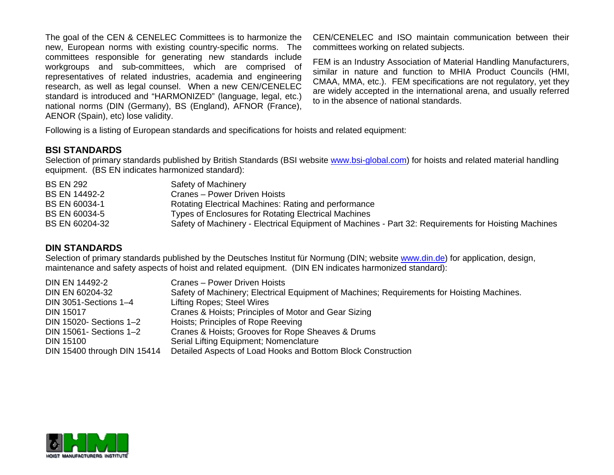The goal of the CEN & CENELEC Committees is to harmonize the new, European norms with existing country-specific norms. The committees responsible for generating new standards include workgroups and sub-committees, which are comprised of representatives of related industries, academia and engineering research, as well as legal counsel. When a new CEN/CENELEC standard is introduced and "HARMONIZED" (language, legal, etc.) national norms (DIN (Germany), BS (England), AFNOR (France), AENOR (Spain), etc) lose validity.

CEN/CENELEC and ISO maintain communication between their committees working on related subjects.

FEM is an Industry Association of Material Handling Manufacturers, similar in nature and function to MHIA Product Councils (HMI, CMAA, MMA, etc.). FEM specifications are not regulatory, yet they are widely accepted in the international arena, and usually referred to in the absence of national standards.

Following is a listing of European standards and specifications for hoists and related equipment:

## **BSI STANDARDS**

Selection of primary standards published by British Standards (BSI website www.bsi-global.com) for hoists and related material handling equipment. (BS EN indicates harmonized standard):

| <b>BS EN 292</b>     | Safety of Machinery                                                                                  |
|----------------------|------------------------------------------------------------------------------------------------------|
| <b>BS EN 14492-2</b> | Cranes - Power Driven Hoists                                                                         |
| <b>BS EN 60034-1</b> | Rotating Electrical Machines: Rating and performance                                                 |
| BS EN 60034-5        | <b>Types of Enclosures for Rotating Electrical Machines</b>                                          |
| BS EN 60204-32       | Safety of Machinery - Electrical Equipment of Machines - Part 32: Requirements for Hoisting Machines |

### **DIN STANDARDS**

Selection of primary standards published by the Deutsches Institut für Normung (DIN; website www.din.de) for application, design, maintenance and safety aspects of hoist and related equipment. (DIN EN indicates harmonized standard):

| <b>DIN EN 14492-2</b>       | Cranes - Power Driven Hoists                                                               |
|-----------------------------|--------------------------------------------------------------------------------------------|
| DIN EN 60204-32             | Safety of Machinery; Electrical Equipment of Machines; Requirements for Hoisting Machines. |
| DIN 3051-Sections 1-4       | Lifting Ropes; Steel Wires                                                                 |
| <b>DIN 15017</b>            | Cranes & Hoists; Principles of Motor and Gear Sizing                                       |
| DIN 15020- Sections 1-2     | Hoists; Principles of Rope Reeving                                                         |
| DIN 15061- Sections 1-2     | Cranes & Hoists; Grooves for Rope Sheaves & Drums                                          |
| <b>DIN 15100</b>            | Serial Lifting Equipment; Nomenclature                                                     |
| DIN 15400 through DIN 15414 | Detailed Aspects of Load Hooks and Bottom Block Construction                               |